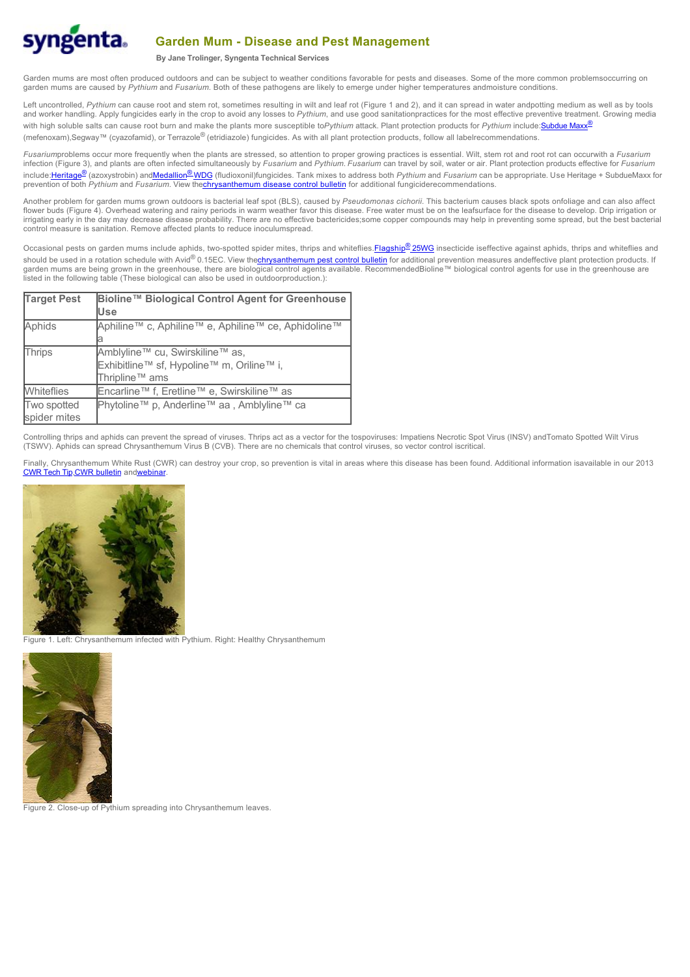

## **Garden Mum - Disease and Pest Management**

**By Jane Trolinger, Syngenta Technical Services**

Garden mums are most often produced outdoors and can be subject to weather conditions favorable for pests and diseases. Some of the more common problemsoccurring on garden mums are caused by *Pythium* and *Fusarium*. Both of these pathogens are likely to emerge under higher temperatures andmoisture conditions.

Left uncontrolled, Pythium can cause root and stem rot, sometimes resulting in wilt and leaf rot (Figure 1 and 2), and it can spread in water andpotting medium as well as by tools and worker handling. Apply fungicides early in the crop to avoid any losses to Pythium, and use good sanitationpractices for the most effective preventive treatment. Growing media with high soluble salts can cause root burn and make the plants more susceptible toPythium attack. Plant protection products for Pythium include: [Subdue Maxx](http://www.greencastonline.com/prodrender/index.aspx?ProdID=754&ProdNM=Subdue MAXX)<sup>®</sup> (mefenoxam),Segway™ (cyazofamid), or Terrazole® (etridiazole) fungicides. As with all plant protection products, follow all labelrecommendations.

*Fusarium*problems occur more frequently when the plants are stressed, so attention to proper growing practices is essential. Wilt, stem rot and root rot can occurwith a *Fusarium* infection (Figure 3), and plants are often infected simultaneously by *Fusarium* and *Pythium*. *Fusarium* can travel by soil, water or air. Plant protection products effective for *Fusarium* include[:Heritage](http://www.greencastonline.com/prodrender/index.aspx?ProdID=50&ProdNM=Heritage)® (azoxystrobin) and[Medallion](http://www.greencastonline.com/prodrender/index.aspx?ProdID=1246&ProdNM=Medallion WDG)® WDG (fludioxonil)fungicides. Tank mixes to address both *Pythium* and *Fusarium* can be appropriate*.* Use Heritage + SubdueMaxx for prevention of both *Pythium* and *Fusarium*. View th[echrysanthemum disease control bulletin](http://www.syngentaflowersinc.com/pdf/cultural/MumDiseaseControl.pdf) for additional fungiciderecommendations.

Another problem for garden mums grown outdoors is bacterial leaf spot (BLS), caused by *Pseudomonas cichorii*. This bacterium causes black spots onfoliage and can also affect flower buds (Figure 4). Overhead watering and rainy periods in warm weather favor this disease. Free water must be on the leafsurface for the disease to develop. Drip irrigation or irrigating early in the day may decrease disease probability. There are no effective bactericides;some copper compounds may help in preventing some spread, but the best bacterial control measure is sanitation. Remove affected plants to reduce inoculumspread.

Occasional pests on garden mums include aphids, two-spotted spider mites, thrips and whiteflies. [Flagship](http://www.greencastonline.com/prodrender/index.aspx?ProdID=901&ProdNM=Flagship 25WG)<sup>®</sup> 25WG insecticide iseffective against aphids, thrips and whiteflies and should be used in a rotation schedule with Avid® 0.15EC. View th[echrysanthemum pest control bulletin](http://www.syngentaflowersinc.com/pdf/cultural/MumPestControl.pdf) for additional prevention measures andeffective plant protection products. If garden mums are being grown in the greenhouse, there are biological control agents available. RecommendedBioline™ biological control agents for use in the greenhouse are listed in the following table (These biological can also be used in outdoorproduction.):

| <b>Target Pest</b> | Bioline™ Biological Control Agent for Greenhouse    |
|--------------------|-----------------------------------------------------|
|                    | lUse                                                |
| Aphids             | Aphiline™ c, Aphiline™ e, Aphiline™ ce, Aphidoline™ |
|                    |                                                     |
| Thrips             | Amblyline™ cu, Swirskiline™ as,                     |
|                    | Exhibitline™ sf, Hypoline™ m, Oriline™ i,           |
|                    | Thripline <sup>™</sup> ams                          |
| <b>Whiteflies</b>  | Encarline™ f, Eretline™ e, Swirskiline™ as          |
| <b>Two spotted</b> | Phytoline™ p, Anderline™ aa, Amblyline™ ca          |
| spider mites       |                                                     |

Controlling thrips and aphids can prevent the spread of viruses. Thrips act as a vector for the tospoviruses: Impatiens Necrotic Spot Virus (INSV) andTomato Spotted Wilt Virus (TSWV). Aphids can spread Chrysanthemum Virus B (CVB). There are no chemicals that control viruses, so vector control iscritical.

Finally, Chrysanthemum White Rust (CWR) can destroy your crop, so prevention is vital in areas where this disease has been found. Additional information isavailable in our 2013 [CWR Tech Tip](http://sfservices.syngenta.com/TechInformation.aspx?ID=Weekly_Tips152), CWR bulletin an[dwebinar](http://www.syngentaflowersinc.com/pdf/cultural/2011 0613 CWR Webinar LA vTNT20110211.pdf)



Figure 1. Left: Chrysanthemum infected with Pythium. Right: Healthy Chrysanthemum



Figure 2. Close-up of Pythium spreading into Chrysanthemum leaves.